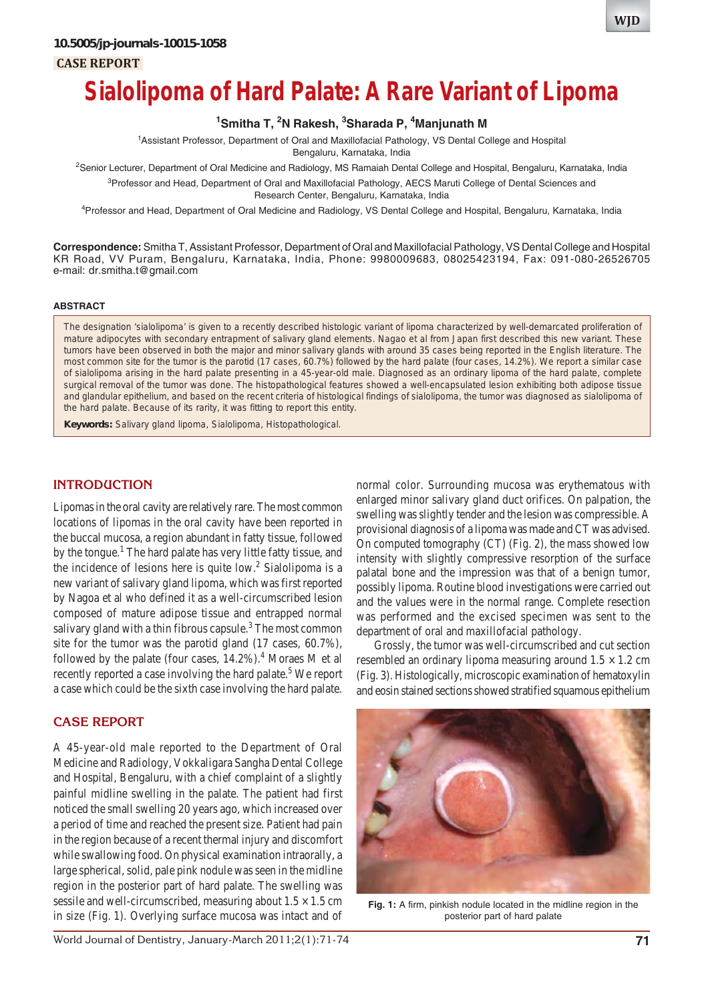**CASE REPORT**

# **Sialolipoma of Hard Palate: A Rare Variant of Lipoma**

### **1 Smitha T, 2 N Rakesh, 3 Sharada P, 4 Manjunath M**

1 Assistant Professor, Department of Oral and Maxillofacial Pathology, VS Dental College and Hospital

Bengaluru, Karnataka, India

<sup>2</sup>Senior Lecturer, Department of Oral Medicine and Radiology, MS Ramaiah Dental College and Hospital, Bengaluru, Karnataka, India <sup>3</sup>Professor and Head, Department of Oral and Maxillofacial Pathology, AECS Maruti College of Dental Sciences and

Research Center, Bengaluru, Karnataka, India

4 Professor and Head, Department of Oral Medicine and Radiology, VS Dental College and Hospital, Bengaluru, Karnataka, India

**Correspondence:** Smitha T, Assistant Professor, Department of Oral and Maxillofacial Pathology, VS Dental College and Hospital KR Road, VV Puram, Bengaluru, Karnataka, India, Phone: 9980009683, 08025423194, Fax: 091-080-26526705 e-mail: dr.smitha.t@gmail.com

#### **ABSTRACT**

The designation 'sialolipoma' is given to a recently described histologic variant of lipoma characterized by well-demarcated proliferation of mature adipocytes with secondary entrapment of salivary gland elements. Nagao et al from Japan first described this new variant. These tumors have been observed in both the major and minor salivary glands with around 35 cases being reported in the English literature. The most common site for the tumor is the parotid (17 cases, 60.7%) followed by the hard palate (four cases, 14.2%). We report a similar case of sialolipoma arising in the hard palate presenting in a 45-year-old male. Diagnosed as an ordinary lipoma of the hard palate, complete surgical removal of the tumor was done. The histopathological features showed a well-encapsulated lesion exhibiting both adipose tissue and glandular epithelium, and based on the recent criteria of histological findings of sialolipoma, the tumor was diagnosed as sialolipoma of the hard palate. Because of its rarity, it was fitting to report this entity.

**Keywords:** Salivary gland lipoma, Sialolipoma, Histopathological.

#### **INTRODUCTION**

Lipomas in the oral cavity are relatively rare. The most common locations of lipomas in the oral cavity have been reported in the buccal mucosa, a region abundant in fatty tissue, followed by the tongue.<sup>1</sup> The hard palate has very little fatty tissue, and the incidence of lesions here is quite  $low.<sup>2</sup>$  Sialolipoma is a new variant of salivary gland lipoma, which was first reported by Nagoa et al who defined it as a well-circumscribed lesion composed of mature adipose tissue and entrapped normal salivary gland with a thin fibrous capsule. $3$  The most common site for the tumor was the parotid gland (17 cases, 60.7%), followed by the palate (four cases,  $14.2\%$ ).<sup>4</sup> Moraes M et al recently reported a case involving the hard palate.<sup>5</sup> We report a case which could be the sixth case involving the hard palate.

#### **CASE REPORT**

A 45-year-old male reported to the Department of Oral Medicine and Radiology, Vokkaligara Sangha Dental College and Hospital, Bengaluru, with a chief complaint of a slightly painful midline swelling in the palate. The patient had first noticed the small swelling 20 years ago, which increased over a period of time and reached the present size. Patient had pain in the region because of a recent thermal injury and discomfort while swallowing food. On physical examination intraorally, a large spherical, solid, pale pink nodule was seen in the midline region in the posterior part of hard palate. The swelling was sessile and well-circumscribed, measuring about  $1.5 \times 1.5$  cm in size (Fig. 1). Overlying surface mucosa was intact and of normal color. Surrounding mucosa was erythematous with enlarged minor salivary gland duct orifices. On palpation, the swelling was slightly tender and the lesion was compressible. A provisional diagnosis of a lipoma was made and CT was advised. On computed tomography (CT) (Fig. 2), the mass showed low intensity with slightly compressive resorption of the surface palatal bone and the impression was that of a benign tumor, possibly lipoma. Routine blood investigations were carried out and the values were in the normal range. Complete resection was performed and the excised specimen was sent to the department of oral and maxillofacial pathology.

Grossly, the tumor was well-circumscribed and cut section resembled an ordinary lipoma measuring around  $1.5 \times 1.2$  cm (Fig. 3). Histologically, microscopic examination of hematoxylin and eosin stained sections showed stratified squamous epithelium



**Fig. 1:** A firm, pinkish nodule located in the midline region in the posterior part of hard palate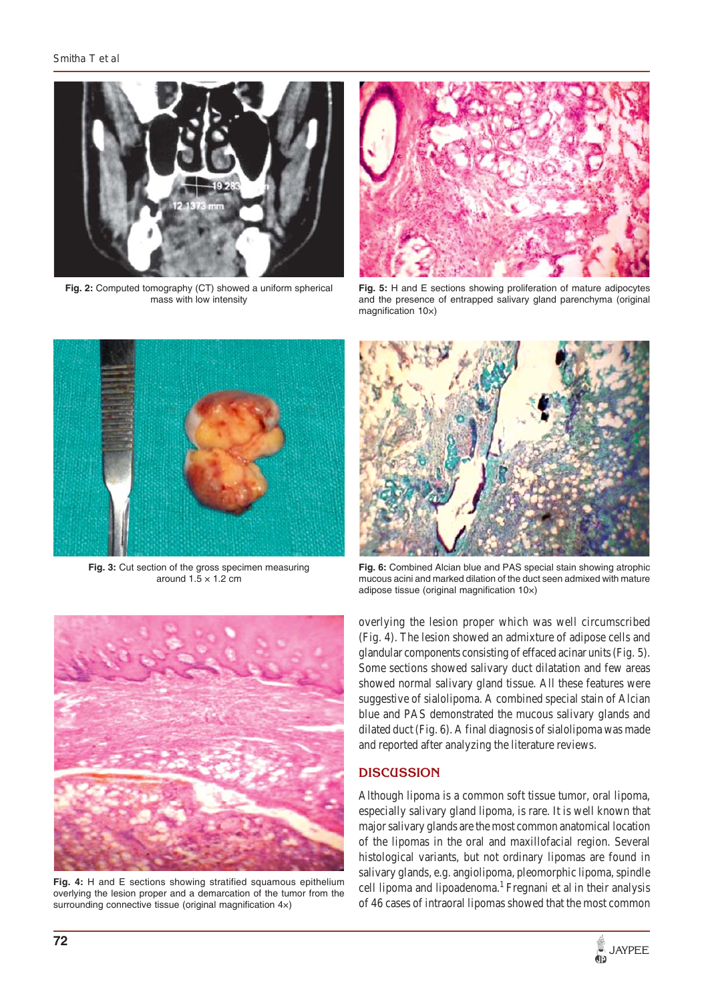

**Fig. 2:** Computed tomography (CT) showed a uniform spherical mass with low intensity



**Fig. 5:** H and E sections showing proliferation of mature adipocytes and the presence of entrapped salivary gland parenchyma (original magnification 10×)



**Fig. 3:** Cut section of the gross specimen measuring around  $1.5 \times 1.2$  cm



**Fig. 6:** Combined Alcian blue and PAS special stain showing atrophic mucous acini and marked dilation of the duct seen admixed with mature adipose tissue (original magnification 10×)



**Fig. 4:** H and E sections showing stratified squamous epithelium overlying the lesion proper and a demarcation of the tumor from the surrounding connective tissue (original magnification 4x)

overlying the lesion proper which was well circumscribed (Fig. 4). The lesion showed an admixture of adipose cells and glandular components consisting of effaced acinar units (Fig. 5). Some sections showed salivary duct dilatation and few areas showed normal salivary gland tissue. All these features were suggestive of sialolipoma. A combined special stain of Alcian blue and PAS demonstrated the mucous salivary glands and dilated duct (Fig. 6). A final diagnosis of sialolipoma was made and reported after analyzing the literature reviews.

## **DISCUSSION**

Although lipoma is a common soft tissue tumor, oral lipoma, especially salivary gland lipoma, is rare. It is well known that major salivary glands are the most common anatomical location of the lipomas in the oral and maxillofacial region. Several histological variants, but not ordinary lipomas are found in salivary glands, e.g. angiolipoma, pleomorphic lipoma, spindle cell lipoma and lipoadenoma.<sup>1</sup> Fregnani et al in their analysis of 46 cases of intraoral lipomas showed that the most common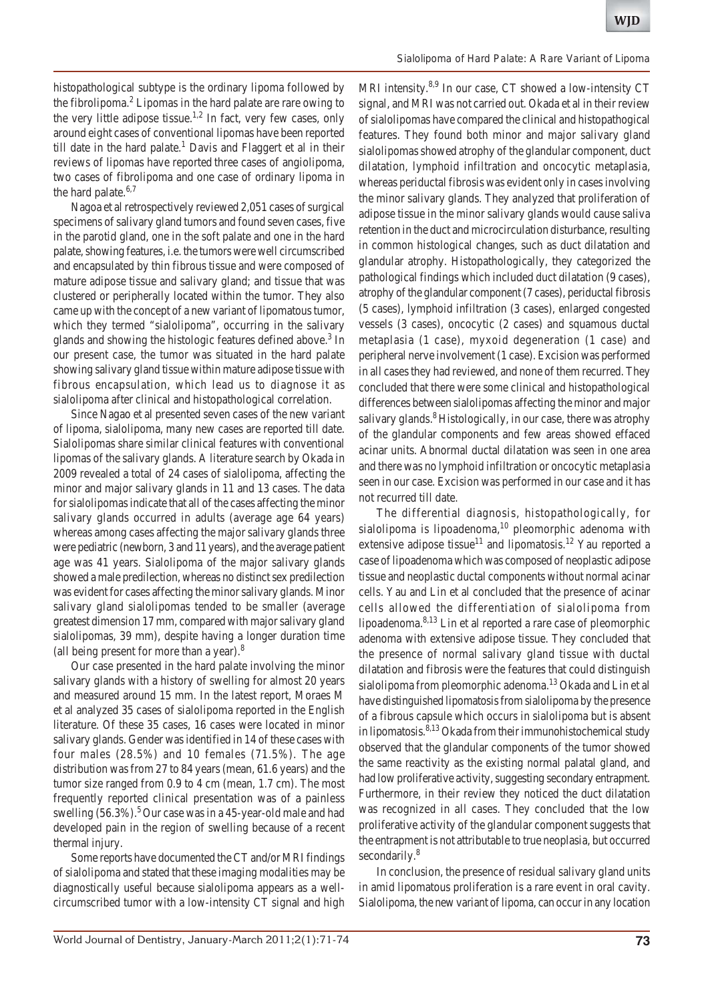histopathological subtype is the ordinary lipoma followed by the fibrolipoma.<sup>2</sup> Lipomas in the hard palate are rare owing to the very little adipose tissue.<sup>1,2</sup> In fact, very few cases, only around eight cases of conventional lipomas have been reported till date in the hard palate.<sup>1</sup> Davis and Flaggert et al in their reviews of lipomas have reported three cases of angiolipoma, two cases of fibrolipoma and one case of ordinary lipoma in the hard palate.<sup>6,7</sup>

Nagoa et al retrospectively reviewed 2,051 cases of surgical specimens of salivary gland tumors and found seven cases, five in the parotid gland, one in the soft palate and one in the hard palate, showing features, i.e. the tumors were well circumscribed and encapsulated by thin fibrous tissue and were composed of mature adipose tissue and salivary gland; and tissue that was clustered or peripherally located within the tumor. They also came up with the concept of a new variant of lipomatous tumor, which they termed "sialolipoma", occurring in the salivary glands and showing the histologic features defined above.<sup>3</sup> In our present case, the tumor was situated in the hard palate showing salivary gland tissue within mature adipose tissue with fibrous encapsulation, which lead us to diagnose it as sialolipoma after clinical and histopathological correlation.

Since Nagao et al presented seven cases of the new variant of lipoma, sialolipoma, many new cases are reported till date. Sialolipomas share similar clinical features with conventional lipomas of the salivary glands. A literature search by Okada in 2009 revealed a total of 24 cases of sialolipoma, affecting the minor and major salivary glands in 11 and 13 cases. The data for sialolipomas indicate that all of the cases affecting the minor salivary glands occurred in adults (average age 64 years) whereas among cases affecting the major salivary glands three were pediatric (newborn, 3 and 11 years), and the average patient age was 41 years. Sialolipoma of the major salivary glands showed a male predilection, whereas no distinct sex predilection was evident for cases affecting the minor salivary glands. Minor salivary gland sialolipomas tended to be smaller (average greatest dimension 17 mm, compared with major salivary gland sialolipomas, 39 mm), despite having a longer duration time (all being present for more than a year).<sup>8</sup>

Our case presented in the hard palate involving the minor salivary glands with a history of swelling for almost 20 years and measured around 15 mm. In the latest report, Moraes M et al analyzed 35 cases of sialolipoma reported in the English literature. Of these 35 cases, 16 cases were located in minor salivary glands. Gender was identified in 14 of these cases with four males (28.5%) and 10 females (71.5%). The age distribution was from 27 to 84 years (mean, 61.6 years) and the tumor size ranged from 0.9 to 4 cm (mean, 1.7 cm). The most frequently reported clinical presentation was of a painless swelling  $(56.3\%)$ .<sup>5</sup> Our case was in a 45-year-old male and had developed pain in the region of swelling because of a recent thermal injury.

Some reports have documented the CT and/or MRI findings of sialolipoma and stated that these imaging modalities may be diagnostically useful because sialolipoma appears as a wellcircumscribed tumor with a low-intensity CT signal and high

MRI intensity.<sup>8,9</sup> In our case, CT showed a low-intensity CT signal, and MRI was not carried out. Okada et al in their review of sialolipomas have compared the clinical and histopathogical features. They found both minor and major salivary gland sialolipomas showed atrophy of the glandular component, duct dilatation, lymphoid infiltration and oncocytic metaplasia, whereas periductal fibrosis was evident only in cases involving the minor salivary glands. They analyzed that proliferation of adipose tissue in the minor salivary glands would cause saliva retention in the duct and microcirculation disturbance, resulting in common histological changes, such as duct dilatation and glandular atrophy. Histopathologically, they categorized the pathological findings which included duct dilatation (9 cases), atrophy of the glandular component (7 cases), periductal fibrosis (5 cases), lymphoid infiltration (3 cases), enlarged congested vessels (3 cases), oncocytic (2 cases) and squamous ductal metaplasia (1 case), myxoid degeneration (1 case) and peripheral nerve involvement (1 case). Excision was performed in all cases they had reviewed, and none of them recurred. They concluded that there were some clinical and histopathological differences between sialolipomas affecting the minor and major salivary glands.<sup>8</sup> Histologically, in our case, there was atrophy of the glandular components and few areas showed effaced acinar units. Abnormal ductal dilatation was seen in one area and there was no lymphoid infiltration or oncocytic metaplasia seen in our case. Excision was performed in our case and it has not recurred till date.

The differential diagnosis, histopathologically, for sialolipoma is lipoadenoma, $10$  pleomorphic adenoma with extensive adipose tissue<sup>11</sup> and lipomatosis.<sup>12</sup> Yau reported a case of lipoadenoma which was composed of neoplastic adipose tissue and neoplastic ductal components without normal acinar cells. Yau and Lin et al concluded that the presence of acinar cells allowed the differentiation of sialolipoma from lipoadenoma.8,13 Lin et al reported a rare case of pleomorphic adenoma with extensive adipose tissue. They concluded that the presence of normal salivary gland tissue with ductal dilatation and fibrosis were the features that could distinguish sialolipoma from pleomorphic adenoma.<sup>13</sup> Okada and Lin et al have distinguished lipomatosis from sialolipoma by the presence of a fibrous capsule which occurs in sialolipoma but is absent in lipomatosis.<sup>8,13</sup> Okada from their immunohistochemical study observed that the glandular components of the tumor showed the same reactivity as the existing normal palatal gland, and had low proliferative activity, suggesting secondary entrapment. Furthermore, in their review they noticed the duct dilatation was recognized in all cases. They concluded that the low proliferative activity of the glandular component suggests that the entrapment is not attributable to true neoplasia, but occurred secondarily.<sup>8</sup>

In conclusion, the presence of residual salivary gland units in amid lipomatous proliferation is a rare event in oral cavity. Sialolipoma, the new variant of lipoma, can occur in any location